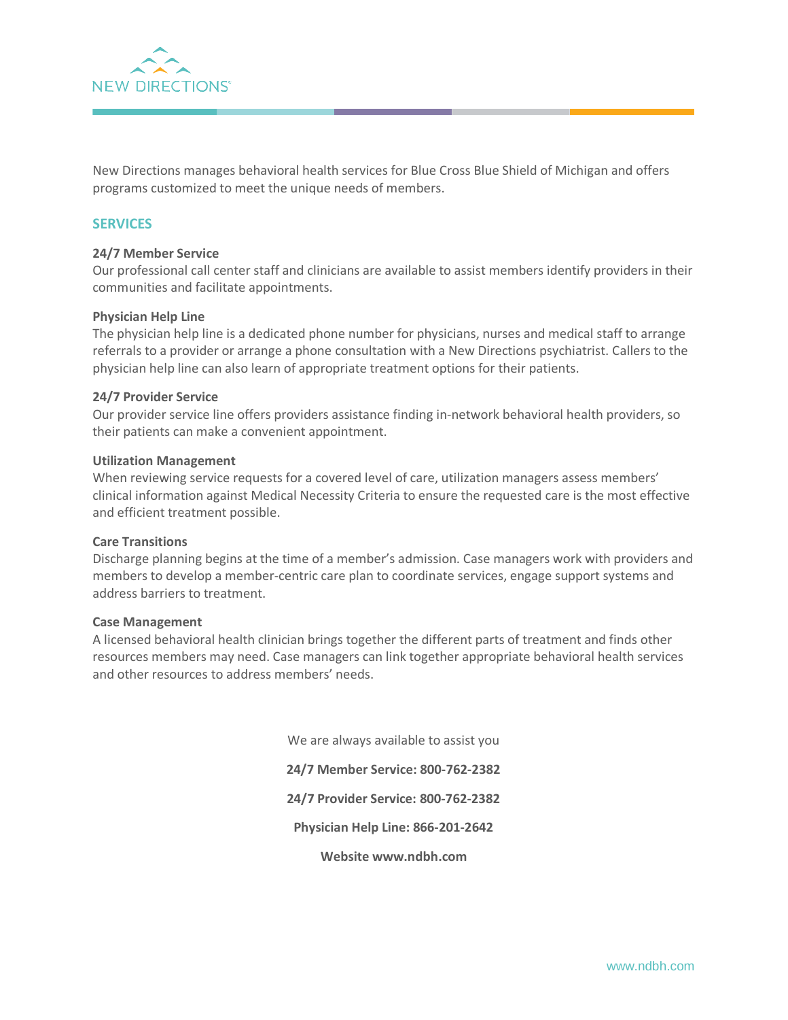

New Directions manages behavioral health services for Blue Cross Blue Shield of Michigan and offers programs customized to meet the unique needs of members.

## **SERVICES**

### **24/7 Member Service**

Our professional call center staff and clinicians are available to assist members identify providers in their communities and facilitate appointments.

### **Physician Help Line**

The physician help line is a dedicated phone number for physicians, nurses and medical staff to arrange referrals to a provider or arrange a phone consultation with a New Directions psychiatrist. Callers to the physician help line can also learn of appropriate treatment options for their patients.

### **24/7 Provider Service**

Our provider service line offers providers assistance finding in-network behavioral health providers, so their patients can make a convenient appointment.

### **Utilization Management**

When reviewing service requests for a covered level of care, utilization managers assess members' clinical information against Medical Necessity Criteria to ensure the requested care is the most effective and efficient treatment possible.

### **Care Transitions**

Discharge planning begins at the time of a member's admission. Case managers work with providers and members to develop a member-centric care plan to coordinate services, engage support systems and address barriers to treatment.

### **Case Management**

A licensed behavioral health clinician brings together the different parts of treatment and finds other resources members may need. Case managers can link together appropriate behavioral health services and other resources to address members' needs.

> We are always available to assist you **24/7 Member Service: 800-762-2382 24/7 Provider Service: 800-762-2382 Physician Help Line: 866-201-2642 Website www.ndbh.com**